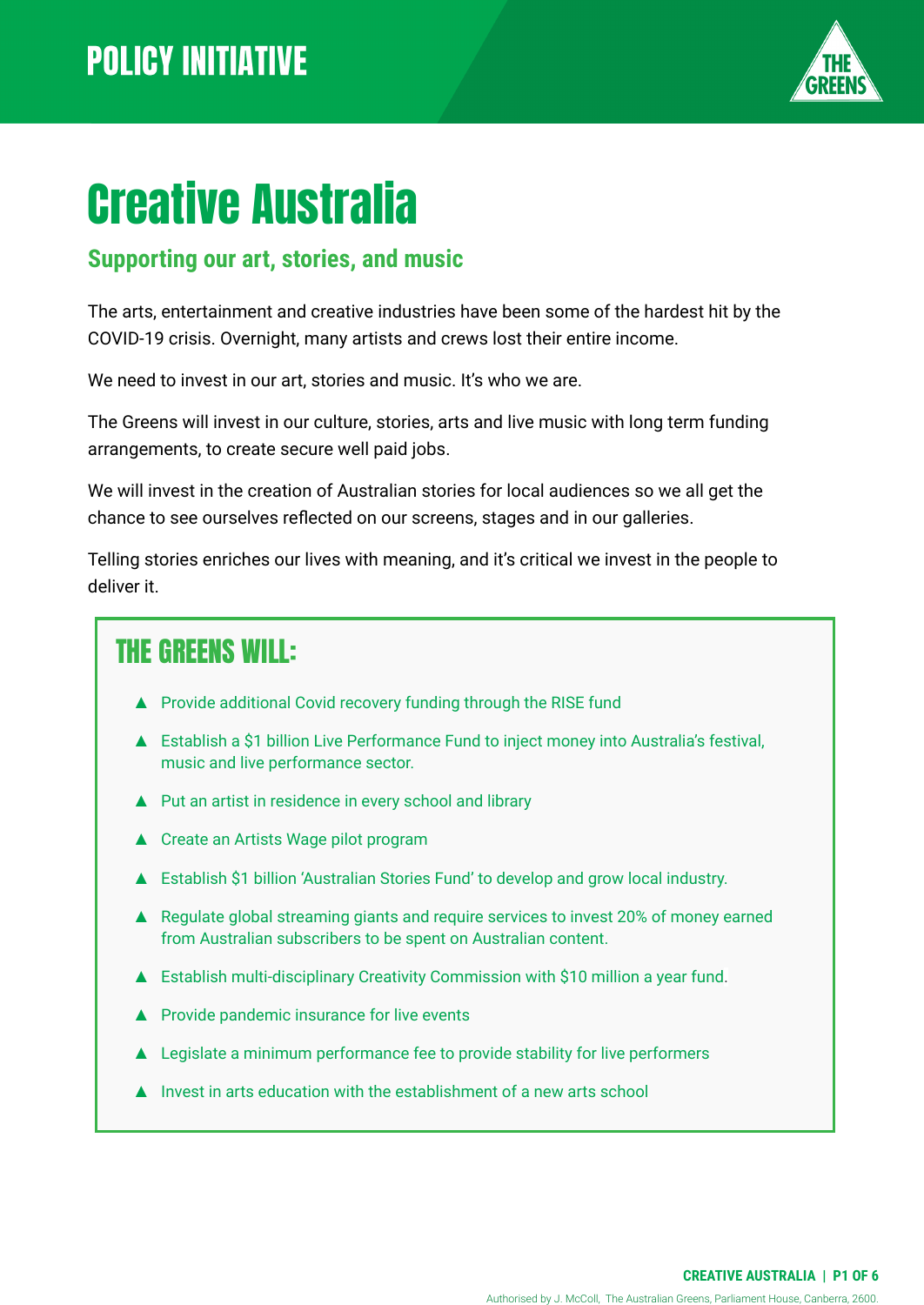

# Creative Australia

#### **Supporting our art, stories, and music**

The arts, entertainment and creative industries have been some of the hardest hit by the COVID-19 crisis. Overnight, many artists and crews lost their entire income.

We need to invest in our art, stories and music. It's who we are.

The Greens will invest in our culture, stories, arts and live music with long term funding arrangements, to create secure well paid jobs.

We will invest in the creation of Australian stories for local audiences so we all get the chance to see ourselves reflected on our screens, stages and in our galleries.

Telling stories enriches our lives with meaning, and it's critical we invest in the people to deliver it.

### THE GREENS WILL:

- ▲ Provide additional Covid recovery funding through the RISE fund
- ▲ Establish a \$1 billion Live Performance Fund to inject money into Australia's festival, music and live performance sector.
- ▲ Put an artist in residence in every school and library
- ▲ Create an Artists Wage pilot program
- ▲ Establish \$1 billion 'Australian Stories Fund' to develop and grow local industry.
- ▲ Regulate global streaming giants and require services to invest 20% of money earned from Australian subscribers to be spent on Australian content.
- Establish multi-disciplinary Creativity Commission with \$10 million a year fund.
- ▲ Provide pandemic insurance for live events
- ▲ Legislate a minimum performance fee to provide stability for live performers
- Invest in arts education with the establishment of a new arts school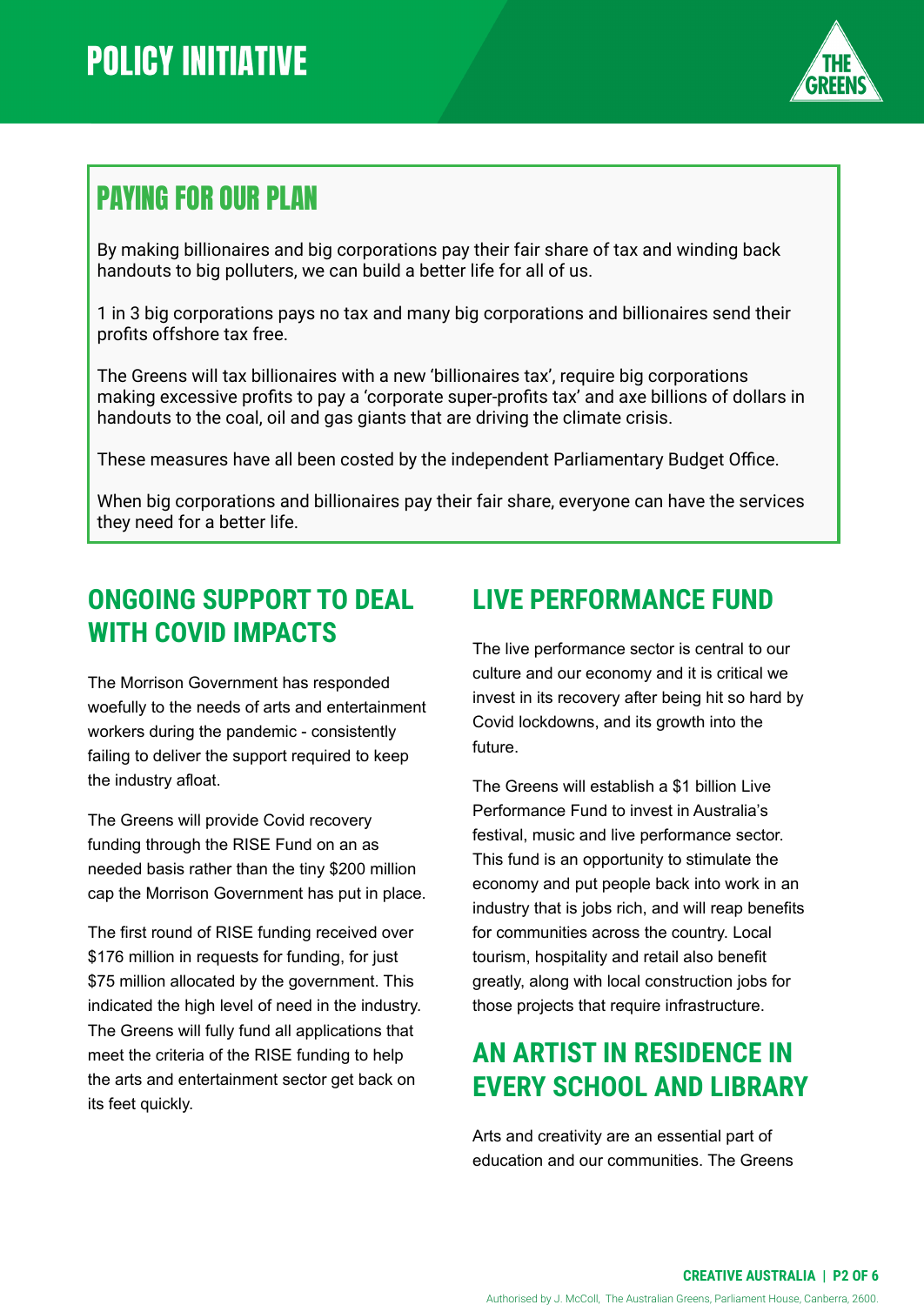

## PAYING FOR OUR PLAN

By making billionaires and big corporations pay their fair share of tax and winding back handouts to big polluters, we can build a better life for all of us.

1 in 3 big corporations pays no tax and many big corporations and billionaires send their profits offshore tax free.

The Greens will tax billionaires with a new 'billionaires tax', require big corporations making excessive profits to pay a 'corporate super-profits tax' and axe billions of dollars in handouts to the coal, oil and gas giants that are driving the climate crisis.

These measures have all been costed by the independent Parliamentary Budget Office.

When big corporations and billionaires pay their fair share, everyone can have the services they need for a better life.

#### **ONGOING SUPPORT TO DEAL WITH COVID IMPACTS**

The Morrison Government has responded woefully to the needs of arts and entertainment workers during the pandemic - consistently failing to deliver the support required to keep the industry afloat.

The Greens will provide Covid recovery funding through the RISE Fund on an as needed basis rather than the tiny \$200 million cap the Morrison Government has put in place.

The first round of RISE funding received over \$176 million in requests for funding, for just \$75 million allocated by the government. This indicated the high level of need in the industry. The Greens will fully fund all applications that meet the criteria of the RISE funding to help the arts and entertainment sector get back on its feet quickly.

#### **LIVE PERFORMANCE FUND**

The live performance sector is central to our culture and our economy and it is critical we invest in its recovery after being hit so hard by Covid lockdowns, and its growth into the future.

The Greens will establish a \$1 billion Live Performance Fund to invest in Australia's festival, music and live performance sector. This fund is an opportunity to stimulate the economy and put people back into work in an industry that is jobs rich, and will reap benefits for communities across the country. Local tourism, hospitality and retail also benefit greatly, along with local construction jobs for those projects that require infrastructure.

#### **AN ARTIST IN RESIDENCE IN EVERY SCHOOL AND LIBRARY**

Arts and creativity are an essential part of education and our communities. The Greens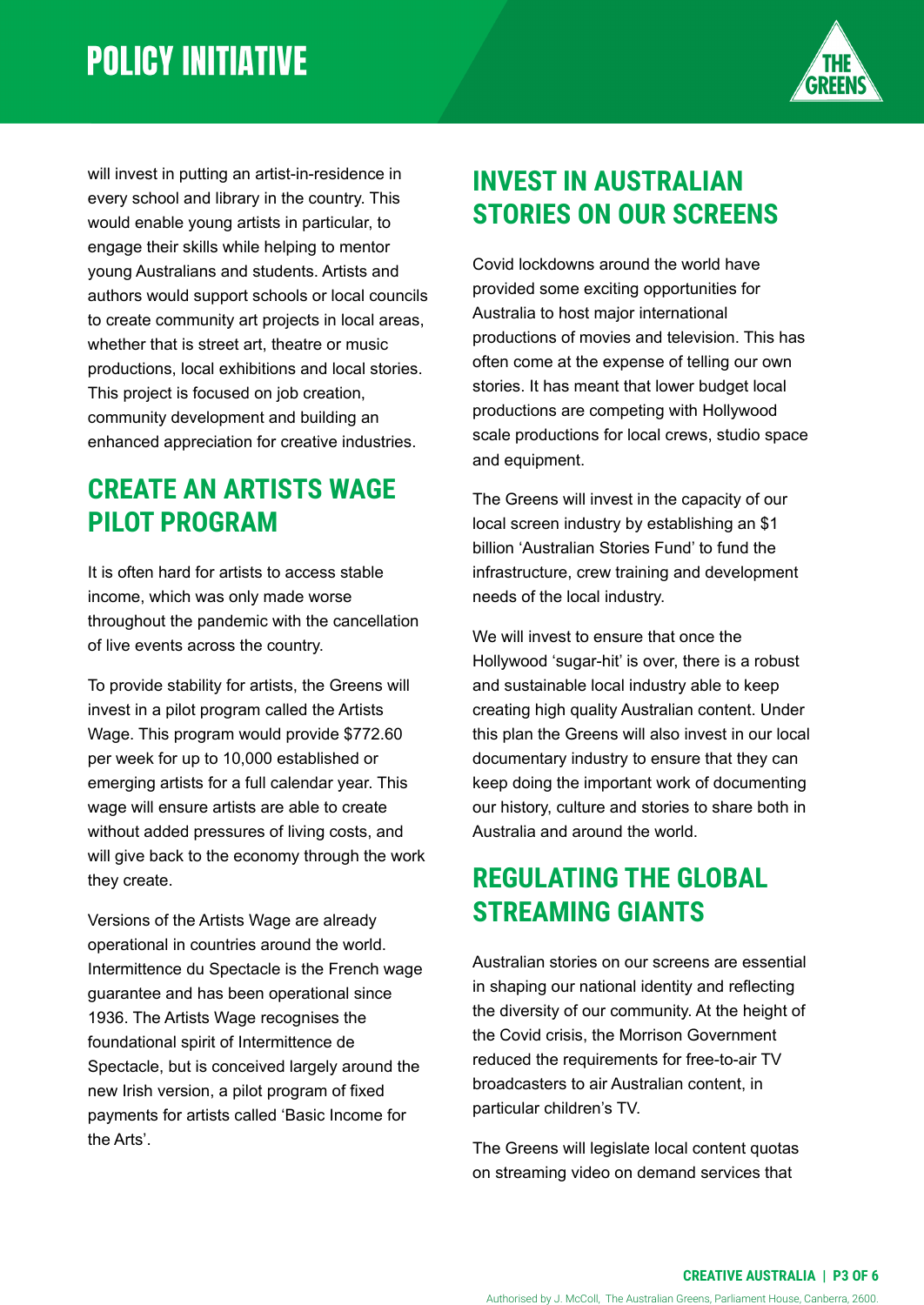

will invest in putting an artist-in-residence in every school and library in the country. This would enable young artists in particular, to engage their skills while helping to mentor young Australians and students. Artists and authors would support schools or local councils to create community art projects in local areas, whether that is street art, theatre or music productions, local exhibitions and local stories. This project is focused on job creation, community development and building an enhanced appreciation for creative industries.

#### **CREATE AN ARTISTS WAGE PILOT PROGRAM**

It is often hard for artists to access stable income, which was only made worse throughout the pandemic with the cancellation of live events across the country.

To provide stability for artists, the Greens will invest in a pilot program called the Artists Wage. This program would provide \$772.60 per week for up to 10,000 established or emerging artists for a full calendar year. This wage will ensure artists are able to create without added pressures of living costs, and will give back to the economy through the work they create.

Versions of the Artists Wage are already operational in countries around the world. Intermittence du Spectacle is the French wage guarantee and has been operational since 1936. The Artists Wage recognises the foundational spirit of Intermittence de Spectacle, but is conceived largely around the new Irish version, a pilot program of fixed payments for artists called 'Basic Income for the Arts'.

## **INVEST IN AUSTRALIAN STORIES ON OUR SCREENS**

Covid lockdowns around the world have provided some exciting opportunities for Australia to host major international productions of movies and television. This has often come at the expense of telling our own stories. It has meant that lower budget local productions are competing with Hollywood scale productions for local crews, studio space and equipment.

The Greens will invest in the capacity of our local screen industry by establishing an \$1 billion 'Australian Stories Fund' to fund the infrastructure, crew training and development needs of the local industry.

We will invest to ensure that once the Hollywood 'sugar-hit' is over, there is a robust and sustainable local industry able to keep creating high quality Australian content. Under this plan the Greens will also invest in our local documentary industry to ensure that they can keep doing the important work of documenting our history, culture and stories to share both in Australia and around the world.

#### **REGULATING THE GLOBAL STREAMING GIANTS**

Australian stories on our screens are essential in shaping our national identity and reflecting the diversity of our community. At the height of the Covid crisis, the Morrison Government reduced the requirements for free-to-air TV broadcasters to air Australian content, in particular children's TV.

The Greens will legislate local content quotas on streaming video on demand services that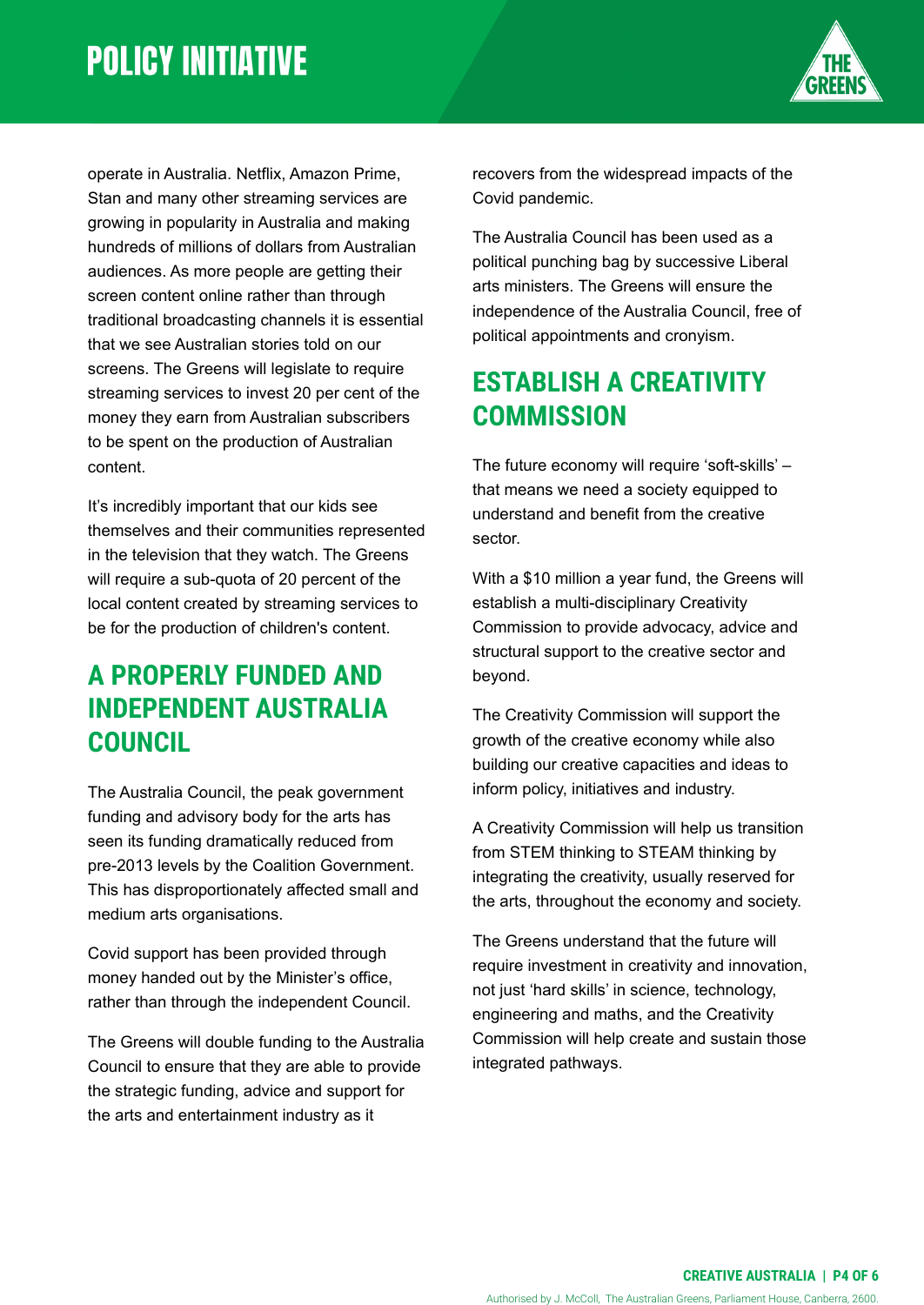

operate in Australia. Netflix, Amazon Prime, Stan and many other streaming services are growing in popularity in Australia and making hundreds of millions of dollars from Australian audiences. As more people are getting their screen content online rather than through traditional broadcasting channels it is essential that we see Australian stories told on our screens. The Greens will legislate to require streaming services to invest 20 per cent of the money they earn from Australian subscribers to be spent on the production of Australian content.

It's incredibly important that our kids see themselves and their communities represented in the television that they watch. The Greens will require a sub-quota of 20 percent of the local content created by streaming services to be for the production of children's content.

#### **A PROPERLY FUNDED AND INDEPENDENT AUSTRALIA COUNCIL**

The Australia Council, the peak government funding and advisory body for the arts has seen its funding dramatically reduced from pre-2013 levels by the Coalition Government. This has disproportionately affected small and medium arts organisations.

Covid support has been provided through money handed out by the Minister's office, rather than through the independent Council.

The Greens will double funding to the Australia Council to ensure that they are able to provide the strategic funding, advice and support for the arts and entertainment industry as it

recovers from the widespread impacts of the Covid pandemic.

The Australia Council has been used as a political punching bag by successive Liberal arts ministers. The Greens will ensure the independence of the Australia Council, free of political appointments and cronyism.

#### **ESTABLISH A CREATIVITY COMMISSION**

The future economy will require 'soft-skills' – that means we need a society equipped to understand and benefit from the creative sector.

With a \$10 million a year fund, the Greens will establish a multi-disciplinary Creativity Commission to provide advocacy, advice and structural support to the creative sector and beyond.

The Creativity Commission will support the growth of the creative economy while also building our creative capacities and ideas to inform policy, initiatives and industry.

A Creativity Commission will help us transition from STEM thinking to STEAM thinking by integrating the creativity, usually reserved for the arts, throughout the economy and society.

The Greens understand that the future will require investment in creativity and innovation, not just 'hard skills' in science, technology, engineering and maths, and the Creativity Commission will help create and sustain those integrated pathways.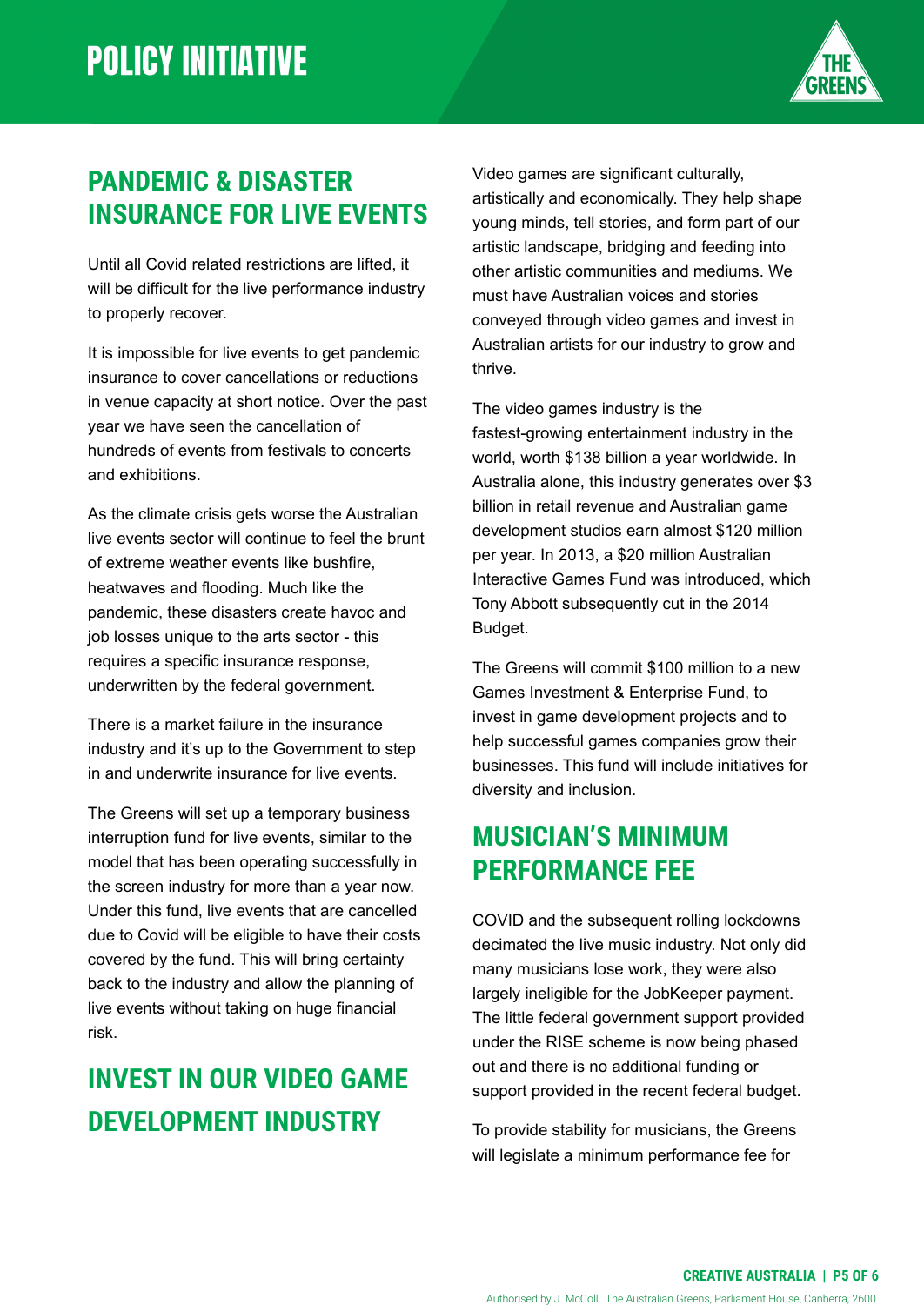

### **PANDEMIC & DISASTER INSURANCE FOR LIVE EVENTS**

Until all Covid related restrictions are lifted, it will be difficult for the live performance industry to properly recover.

It is impossible for live events to get pandemic insurance to cover cancellations or reductions in venue capacity at short notice. Over the past year we have seen the cancellation of hundreds of events from festivals to concerts and exhibitions.

As the climate crisis gets worse the Australian live events sector will continue to feel the brunt of extreme weather events like bushfire, heatwaves and flooding. Much like the pandemic, these disasters create havoc and job losses unique to the arts sector - this requires a specific insurance response, underwritten by the federal government.

There is a market failure in the insurance industry and it's up to the Government to step in and underwrite insurance for live events.

The Greens will set up a temporary business interruption fund for live events, similar to the model that has been operating successfully in the screen industry for more than a year now. Under this fund, live events that are cancelled due to Covid will be eligible to have their costs covered by the fund. This will bring certainty back to the industry and allow the planning of live events without taking on huge financial risk.

## **INVEST IN OUR VIDEO GAME DEVELOPMENT INDUSTRY**

Video games are significant culturally, artistically and economically. They help shape young minds, tell stories, and form part of our artistic landscape, bridging and feeding into other artistic communities and mediums. We must have Australian voices and stories conveyed through video games and invest in Australian artists for our industry to grow and thrive.

The video games industry is the fastest-growing entertainment industry in the world, worth \$138 billion a year worldwide. In Australia alone, this industry generates over \$3 billion in retail revenue and Australian game development studios earn almost \$120 million per year. In 2013, a \$20 million Australian Interactive Games Fund was introduced, which Tony Abbott subsequently cut in the 2014 Budget.

The Greens will commit \$100 million to a new Games Investment & Enterprise Fund, to invest in game development projects and to help successful games companies grow their businesses. This fund will include initiatives for diversity and inclusion.

#### **MUSICIAN'S MINIMUM PERFORMANCE FEE**

COVID and the subsequent rolling lockdowns decimated the live music industry. Not only did many musicians lose work, they were also largely ineligible for the JobKeeper payment. The little federal government support provided under the RISE scheme is now being phased out and there is no additional funding or support provided in the recent federal budget.

To provide stability for musicians, the Greens will legislate a minimum performance fee for